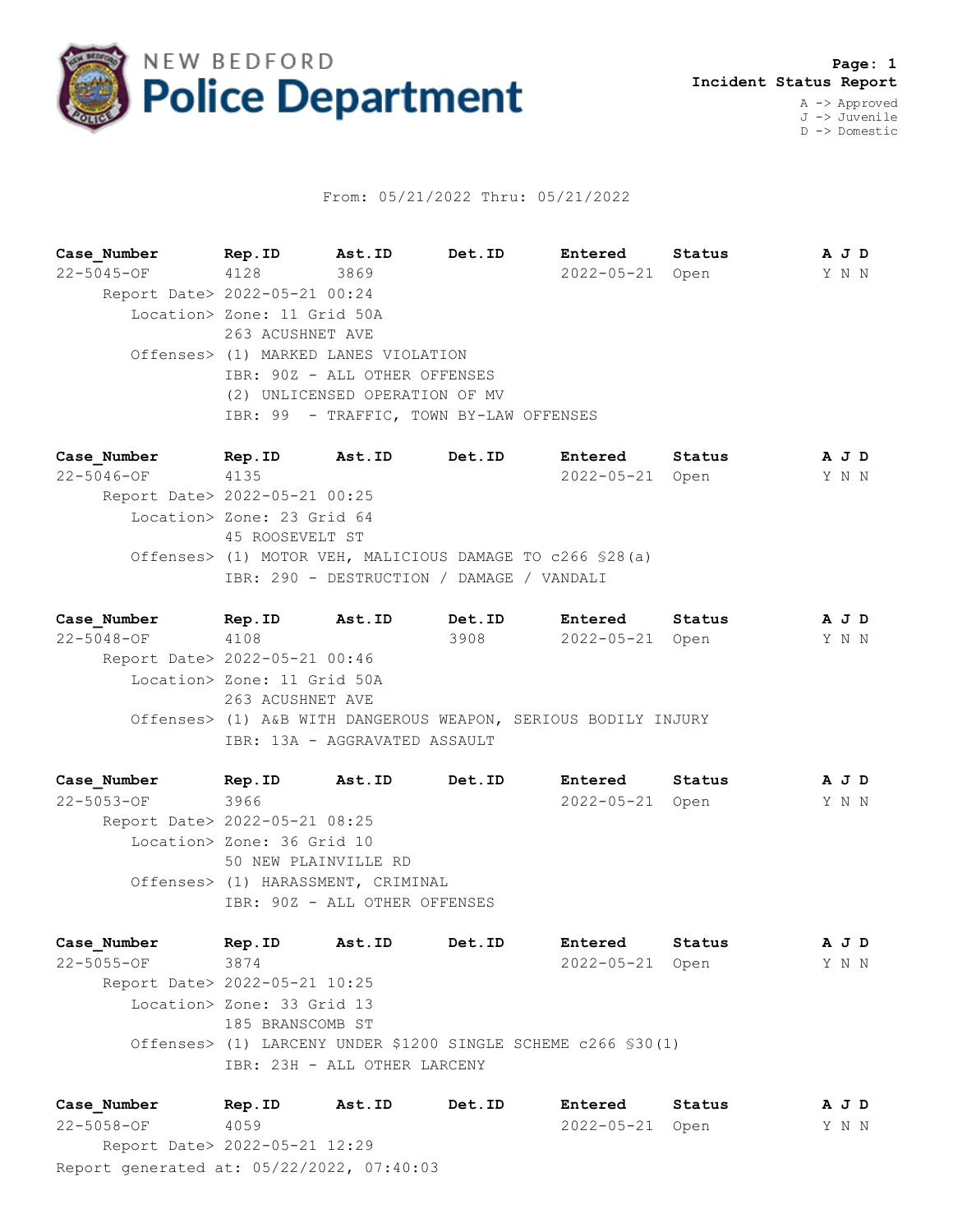

## From: 05/21/2022 Thru: 05/21/2022

**Case\_Number Rep.ID Ast.ID Det.ID Entered Status A J D** 22-5045-OF 4128 3869 2022-05-21 Open Y N N Report Date> 2022-05-21 00:24 Location> Zone: 11 Grid 50A 263 ACUSHNET AVE Offenses> (1) MARKED LANES VIOLATION IBR: 90Z - ALL OTHER OFFENSES (2) UNLICENSED OPERATION OF MV IBR: 99 - TRAFFIC, TOWN BY-LAW OFFENSES

**Case\_Number Rep.ID Ast.ID Det.ID Entered Status A J D** 22-5046-OF 4135 2022-05-21 Open Y N N Report Date> 2022-05-21 00:25 Location> Zone: 23 Grid 64 45 ROOSEVELT ST Offenses> (1) MOTOR VEH, MALICIOUS DAMAGE TO c266 §28(a) IBR: 290 - DESTRUCTION / DAMAGE / VANDALI

**Case\_Number Rep.ID Ast.ID Det.ID Entered Status A J D** 22-5048-OF 4108 3908 2022-05-21 Open Y N N Report Date> 2022-05-21 00:46 Location> Zone: 11 Grid 50A 263 ACUSHNET AVE Offenses> (1) A&B WITH DANGEROUS WEAPON, SERIOUS BODILY INJURY IBR: 13A - AGGRAVATED ASSAULT

**Case\_Number Rep.ID Ast.ID Det.ID Entered Status A J D** 22-5053-OF 3966 2022-05-21 Open Y N N Report Date> 2022-05-21 08:25 Location> Zone: 36 Grid 10 50 NEW PLAINVILLE RD Offenses> (1) HARASSMENT, CRIMINAL IBR: 90Z - ALL OTHER OFFENSES

**Case\_Number Rep.ID Ast.ID Det.ID Entered Status A J D** 22-5055-OF 3874 2022-05-21 Open Y N N Report Date> 2022-05-21 10:25 Location> Zone: 33 Grid 13 185 BRANSCOMB ST Offenses> (1) LARCENY UNDER \$1200 SINGLE SCHEME c266 §30(1) IBR: 23H - ALL OTHER LARCENY

Report generated at: 05/22/2022, 07:40:03 **Case\_Number Rep.ID Ast.ID Det.ID Entered Status A J D** 22-5058-OF 4059 2022-05-21 Open Y N N Report Date> 2022-05-21 12:29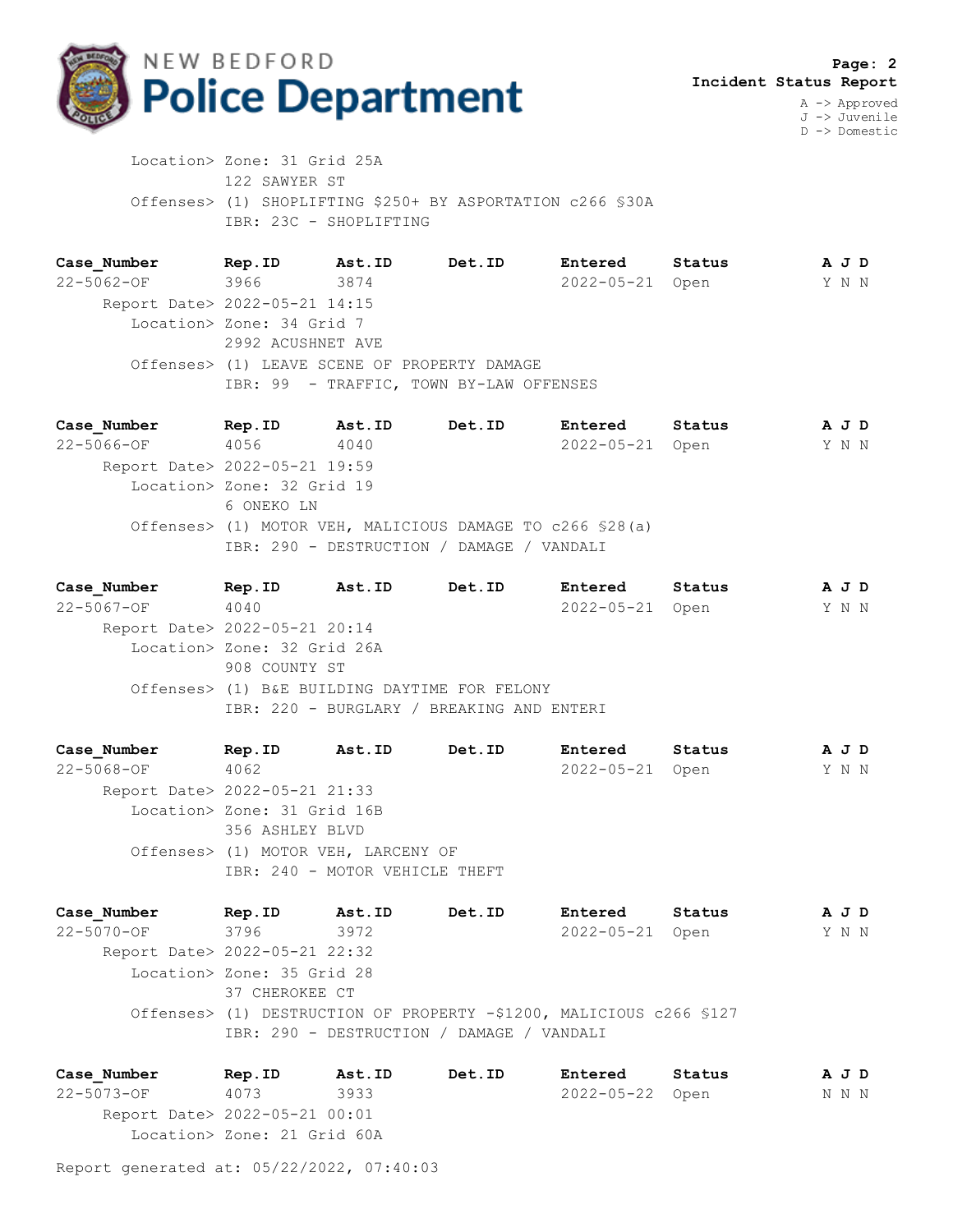

J -> Juvenile D -> Domestic

 Location> Zone: 31 Grid 25A 122 SAWYER ST Offenses> (1) SHOPLIFTING \$250+ BY ASPORTATION c266 §30A IBR: 23C - SHOPLIFTING

**Case\_Number Rep.ID Ast.ID Det.ID Entered Status A J D** 22-5062-OF 3966 3874 2022-05-21 Open Y N N Report Date> 2022-05-21 14:15 Location> Zone: 34 Grid 7 2992 ACUSHNET AVE Offenses> (1) LEAVE SCENE OF PROPERTY DAMAGE IBR: 99 - TRAFFIC, TOWN BY-LAW OFFENSES

**Case\_Number Rep.ID Ast.ID Det.ID Entered Status A J D** 22-5066-OF 4056 4040 2022-05-21 Open Y N N Report Date> 2022-05-21 19:59 Location> Zone: 32 Grid 19 6 ONEKO LN Offenses> (1) MOTOR VEH, MALICIOUS DAMAGE TO c266 §28(a) IBR: 290 - DESTRUCTION / DAMAGE / VANDALI

**Case\_Number Rep.ID Ast.ID Det.ID Entered Status A J D** 22-5067-OF 4040 2022-05-21 Open Y N N Report Date> 2022-05-21 20:14 Location> Zone: 32 Grid 26A 908 COUNTY ST Offenses> (1) B&E BUILDING DAYTIME FOR FELONY IBR: 220 - BURGLARY / BREAKING AND ENTERI

**Case\_Number Rep.ID Ast.ID Det.ID Entered Status A J D** 22-5068-OF 4062 2022-05-21 Open Y N N Report Date> 2022-05-21 21:33 Location> Zone: 31 Grid 16B 356 ASHLEY BLVD Offenses> (1) MOTOR VEH, LARCENY OF IBR: 240 - MOTOR VEHICLE THEFT

**Case\_Number Rep.ID Ast.ID Det.ID Entered Status A J D** 22-5070-OF 3796 3972 2022-05-21 Open Y N N Report Date> 2022-05-21 22:32 Location> Zone: 35 Grid 28 37 CHEROKEE CT Offenses> (1) DESTRUCTION OF PROPERTY -\$1200, MALICIOUS c266 §127 IBR: 290 - DESTRUCTION / DAMAGE / VANDALI

**Case\_Number Rep.ID Ast.ID Det.ID Entered Status A J D** 22-5073-OF 4073 3933 2022-05-22 Open N N N Report Date> 2022-05-21 00:01 Location> Zone: 21 Grid 60A

Report generated at: 05/22/2022, 07:40:03